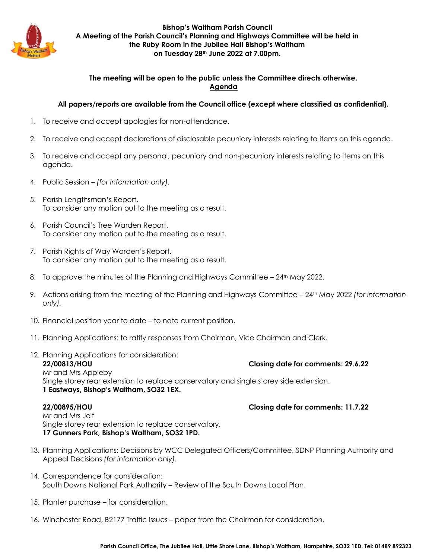

**Bishop's Waltham Parish Council A Meeting of the Parish Council's Planning and Highways Committee will be held in the Ruby Room in the Jubilee Hall Bishop's Waltham on Tuesday 28th June 2022 at 7.00pm.**

## **The meeting will be open to the public unless the Committee directs otherwise. Agenda**

## **All papers/reports are available from the Council office (except where classified as confidential).**

- 1. To receive and accept apologies for non-attendance.
- 2. To receive and accept declarations of disclosable pecuniary interests relating to items on this agenda.
- 3. To receive and accept any personal, pecuniary and non-pecuniary interests relating to items on this agenda.
- 4. Public Session *(for information only).*
- 5. Parish Lengthsman's Report. To consider any motion put to the meeting as a result.
- 6. Parish Council's Tree Warden Report. To consider any motion put to the meeting as a result.
- 7. Parish Rights of Way Warden's Report. To consider any motion put to the meeting as a result.
- 8. To approve the minutes of the Planning and Highways Committee  $-24$ <sup>th</sup> May 2022.
- 9. Actions arising from the meeting of the Planning and Highways Committee 24th May 2022 *(for information only).*
- 10. Financial position year to date to note current position.
- 11. Planning Applications: to ratify responses from Chairman, Vice Chairman and Clerk.
- 12. Planning Applications for consideration: **22/00813/HOU Closing date for comments: 29.6.22** Mr and Mrs Appleby Single storey rear extension to replace conservatory and single storey side extension. **1 Eastways, Bishop's Waltham, SO32 1EX.**

**22/00895/HOU Closing date for comments: 11.7.22**

Mr and Mrs Jelf Single storey rear extension to replace conservatory. **17 Gunners Park, Bishop's Waltham, SO32 1PD.**

- 13. Planning Applications: Decisions by WCC Delegated Officers/Committee, SDNP Planning Authority and Appeal Decisions *(for information only).*
- 14. Correspondence for consideration: South Downs National Park Authority – Review of the South Downs Local Plan.
- 15. Planter purchase for consideration.
- 16. Winchester Road, B2177 Traffic Issues paper from the Chairman for consideration.